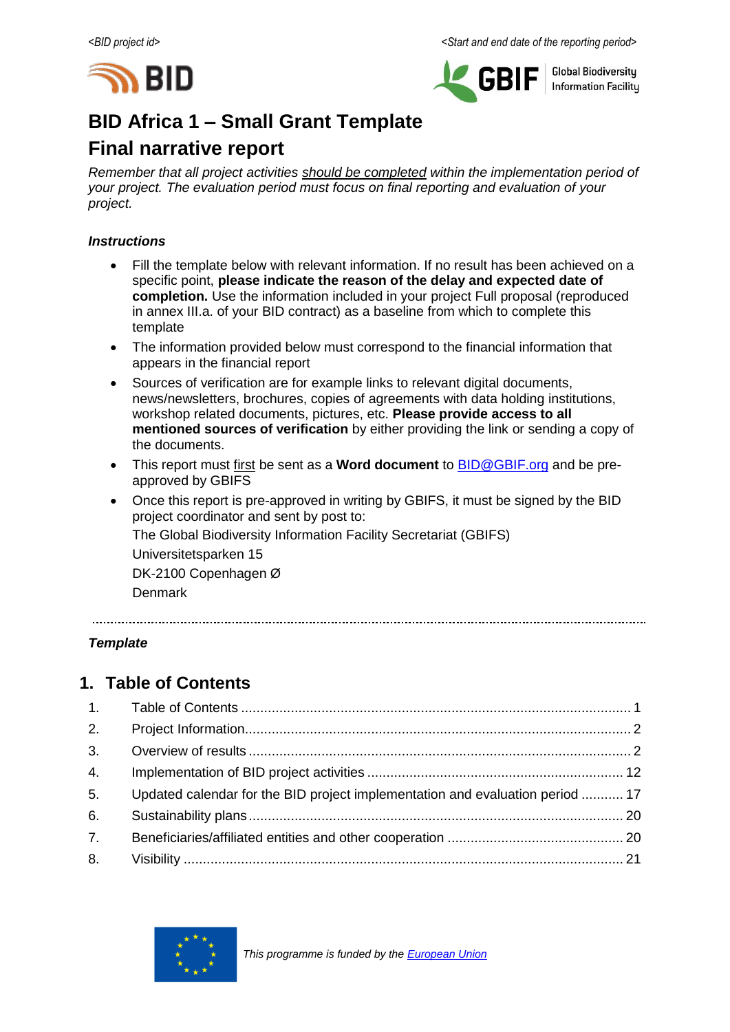



**Global Biodiversity Information Facilitu** 

# **BID Africa 1 – Small Grant Template**

# **Final narrative report**

*Remember that all project activities should be completed within the implementation period of your project. The evaluation period must focus on final reporting and evaluation of your project.*

#### *Instructions*

- Fill the template below with relevant information. If no result has been achieved on a specific point, **please indicate the reason of the delay and expected date of completion.** Use the information included in your project Full proposal (reproduced in annex III.a. of your BID contract) as a baseline from which to complete this template
- The information provided below must correspond to the financial information that appears in the financial report
- Sources of verification are for example links to relevant digital documents, news/newsletters, brochures, copies of agreements with data holding institutions, workshop related documents, pictures, etc. **Please provide access to all mentioned sources of verification** by either providing the link or sending a copy of the documents.
- This report must first be sent as a **Word document** to [BID@GBIF.org](mailto:BID@GBIF.org) and be preapproved by GBIFS
- Once this report is pre-approved in writing by GBIFS, it must be signed by the BID project coordinator and sent by post to: The Global Biodiversity Information Facility Secretariat (GBIFS) Universitetsparken 15 DK-2100 Copenhagen Ø Denmark

*Template*

# <span id="page-0-0"></span>**1. Table of Contents**

| 2. |                                                                               |  |
|----|-------------------------------------------------------------------------------|--|
| 3. |                                                                               |  |
| 4. |                                                                               |  |
| 5. | Updated calendar for the BID project implementation and evaluation period  17 |  |
| 6. |                                                                               |  |
| 7. |                                                                               |  |
| 8. |                                                                               |  |

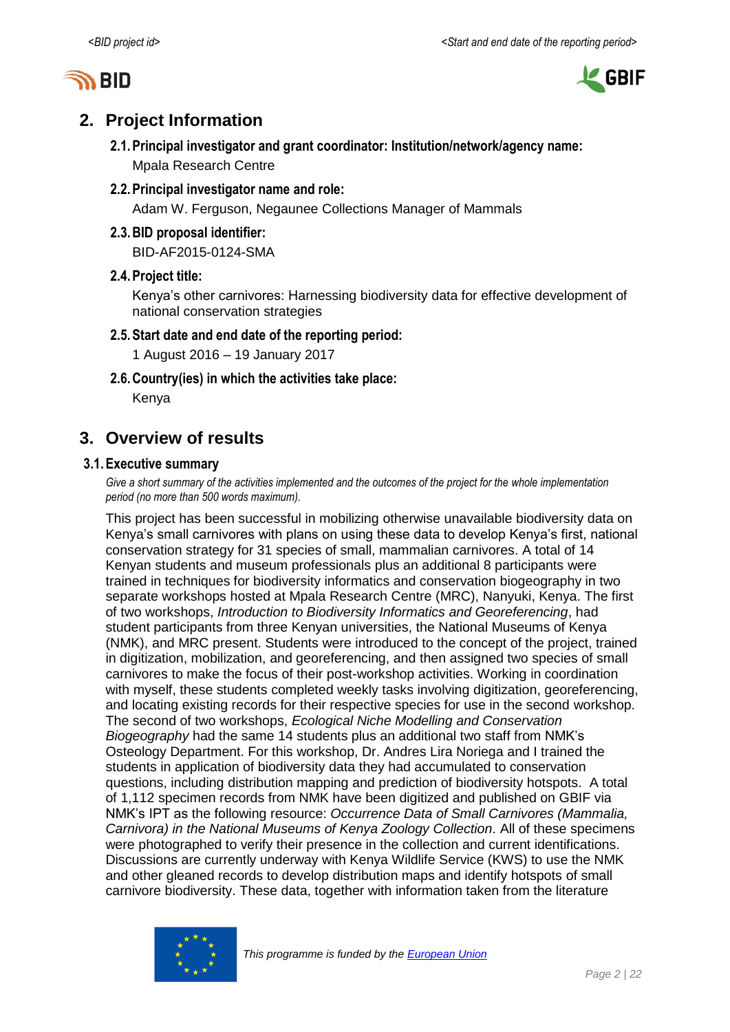



# <span id="page-1-0"></span>**2. Project Information**

- **2.1.Principal investigator and grant coordinator: Institution/network/agency name:** Mpala Research Centre
- **2.2.Principal investigator name and role:**

Adam W. Ferguson, Negaunee Collections Manager of Mammals

**2.3.BID proposal identifier:**

BID-AF2015-0124-SMA

### **2.4.Project title:**

Kenya's other carnivores: Harnessing biodiversity data for effective development of national conservation strategies

#### **2.5.Start date and end date of the reporting period:**

1 August 2016 – 19 January 2017

**2.6.Country(ies) in which the activities take place:**

Kenya

## <span id="page-1-1"></span>**3. Overview of results**

#### **3.1.Executive summary**

*Give a short summary of the activities implemented and the outcomes of the project for the whole implementation period (no more than 500 words maximum).*

This project has been successful in mobilizing otherwise unavailable biodiversity data on Kenya's small carnivores with plans on using these data to develop Kenya's first, national conservation strategy for 31 species of small, mammalian carnivores. A total of 14 Kenyan students and museum professionals plus an additional 8 participants were trained in techniques for biodiversity informatics and conservation biogeography in two separate workshops hosted at Mpala Research Centre (MRC), Nanyuki, Kenya. The first of two workshops, *Introduction to Biodiversity Informatics and Georeferencing*, had student participants from three Kenyan universities, the National Museums of Kenya (NMK), and MRC present. Students were introduced to the concept of the project, trained in digitization, mobilization, and georeferencing, and then assigned two species of small carnivores to make the focus of their post-workshop activities. Working in coordination with myself, these students completed weekly tasks involving digitization, georeferencing, and locating existing records for their respective species for use in the second workshop. The second of two workshops, *Ecological Niche Modelling and Conservation Biogeography* had the same 14 students plus an additional two staff from NMK's Osteology Department. For this workshop, Dr. Andres Lira Noriega and I trained the students in application of biodiversity data they had accumulated to conservation questions, including distribution mapping and prediction of biodiversity hotspots. A total of 1,112 specimen records from NMK have been digitized and published on GBIF via NMK's IPT as the following resource: *Occurrence Data of Small Carnivores (Mammalia, Carnivora) in the National Museums of Kenya Zoology Collection*. All of these specimens were photographed to verify their presence in the collection and current identifications. Discussions are currently underway with Kenya Wildlife Service (KWS) to use the NMK and other gleaned records to develop distribution maps and identify hotspots of small carnivore biodiversity. These data, together with information taken from the literature

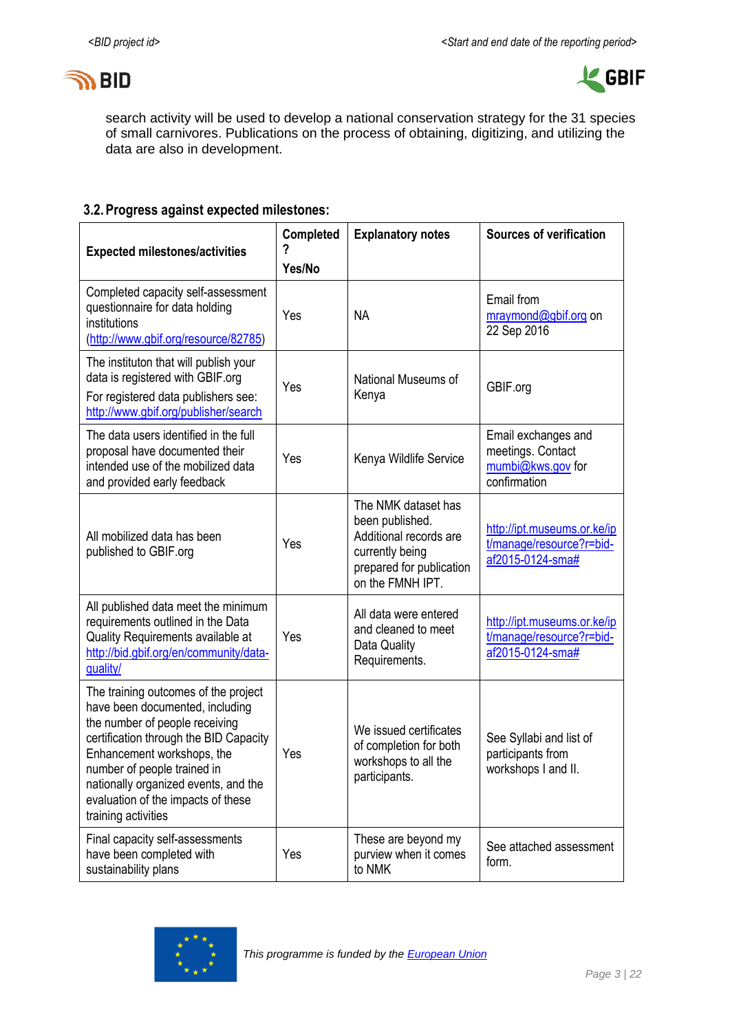



search activity will be used to develop a national conservation strategy for the 31 species of small carnivores. Publications on the process of obtaining, digitizing, and utilizing the data are also in development.

### **3.2.Progress against expected milestones:**

| <b>Expected milestones/activities</b>                                                                                                                                                                                                                                                                                 | Completed<br>7<br>Yes/No | <b>Explanatory notes</b>                                                                                                            | <b>Sources of verification</b>                                                |  |  |
|-----------------------------------------------------------------------------------------------------------------------------------------------------------------------------------------------------------------------------------------------------------------------------------------------------------------------|--------------------------|-------------------------------------------------------------------------------------------------------------------------------------|-------------------------------------------------------------------------------|--|--|
| Completed capacity self-assessment<br>questionnaire for data holding<br>institutions<br>(http://www.gbif.org/resource/82785)                                                                                                                                                                                          | Yes                      | <b>NA</b>                                                                                                                           | Email from<br>mraymond@gbif.org on<br>22 Sep 2016                             |  |  |
| The instituton that will publish your<br>data is registered with GBIF.org<br>For registered data publishers see:<br>http://www.gbif.org/publisher/search                                                                                                                                                              | Yes                      | National Museums of<br>Kenya                                                                                                        | GBIF.org                                                                      |  |  |
| The data users identified in the full<br>proposal have documented their<br>intended use of the mobilized data<br>and provided early feedback                                                                                                                                                                          | Yes                      | Kenya Wildlife Service                                                                                                              | Email exchanges and<br>meetings. Contact<br>mumbi@kws.gov for<br>confirmation |  |  |
| All mobilized data has been<br>published to GBIF.org                                                                                                                                                                                                                                                                  | Yes                      | The NMK dataset has<br>been published.<br>Additional records are<br>currently being<br>prepared for publication<br>on the FMNH IPT. | http://ipt.museums.or.ke/ip<br>t/manage/resource?r=bid-<br>af2015-0124-sma#   |  |  |
| All published data meet the minimum<br>requirements outlined in the Data<br>Quality Requirements available at<br>http://bid.gbif.org/en/community/data-<br>quality/                                                                                                                                                   | Yes                      | All data were entered<br>and cleaned to meet<br>Data Quality<br>Requirements.                                                       | http://ipt.museums.or.ke/ip<br>t/manage/resource?r=bid-<br>af2015-0124-sma#   |  |  |
| The training outcomes of the project<br>have been documented, including<br>the number of people receiving<br>certification through the BID Capacity<br>Enhancement workshops, the<br>number of people trained in<br>nationally organized events, and the<br>evaluation of the impacts of these<br>training activities | Yes                      | We issued certificates<br>of completion for both<br>workshops to all the<br>participants.                                           | See Syllabi and list of<br>participants from<br>workshops I and II.           |  |  |
| Final capacity self-assessments<br>have been completed with<br>sustainability plans                                                                                                                                                                                                                                   | Yes                      | These are beyond my<br>purview when it comes<br>to NMK                                                                              | See attached assessment<br>form.                                              |  |  |

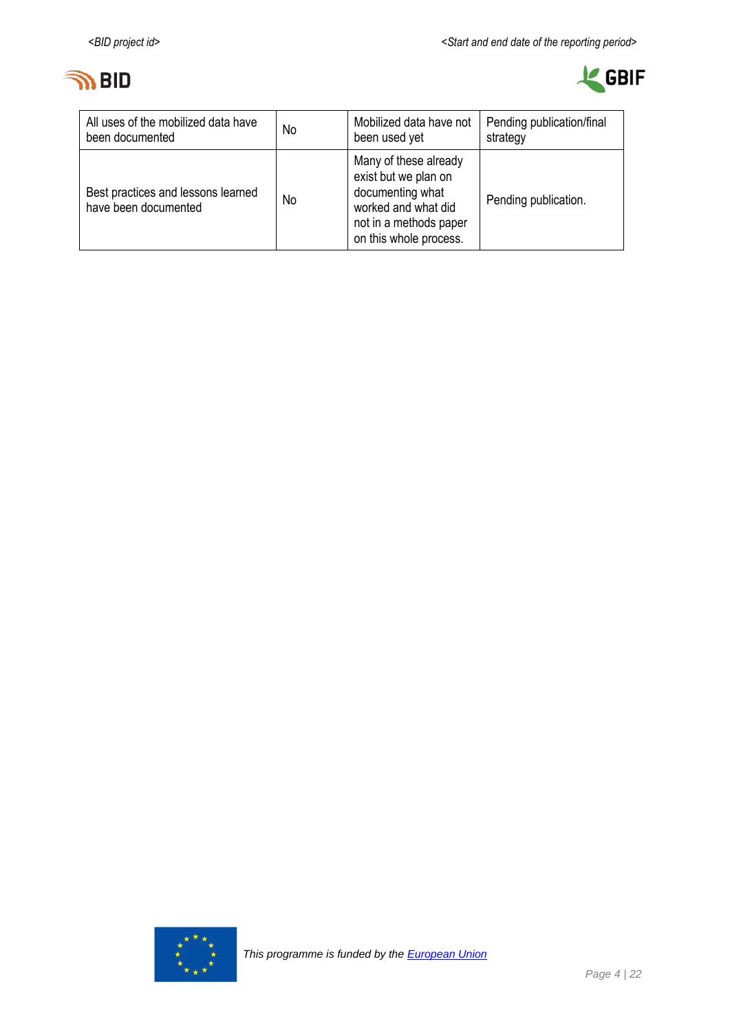



| All uses of the mobilized data have                        | No | Mobilized data have not                                                                                                                      | Pending publication/final |
|------------------------------------------------------------|----|----------------------------------------------------------------------------------------------------------------------------------------------|---------------------------|
| been documented                                            |    | been used yet                                                                                                                                | strategy                  |
| Best practices and lessons learned<br>have been documented | No | Many of these already<br>exist but we plan on<br>documenting what<br>worked and what did<br>not in a methods paper<br>on this whole process. | Pending publication.      |

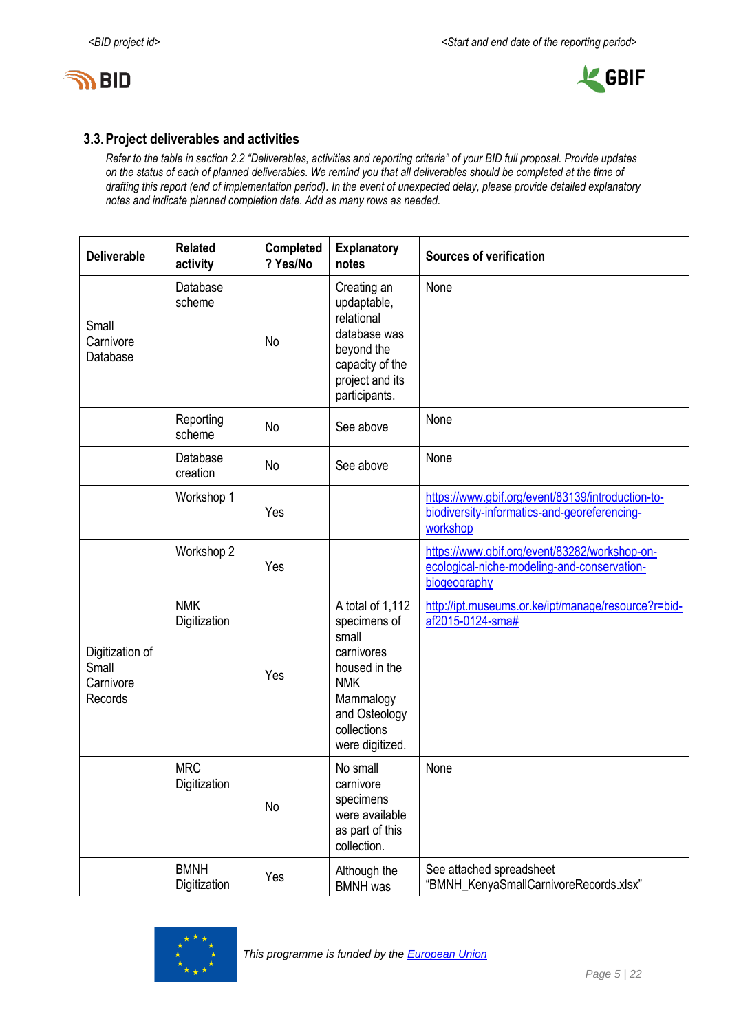



#### **3.3.Project deliverables and activities**

*Refer to the table in section 2.2 "Deliverables, activities and reporting criteria" of your BID full proposal. Provide updates on the status of each of planned deliverables. We remind you that all deliverables should be completed at the time of drafting this report (end of implementation period). In the event of unexpected delay, please provide detailed explanatory notes and indicate planned completion date. Add as many rows as needed.*

| <b>Deliverable</b>                               | <b>Related</b><br>activity  | <b>Completed</b><br>? Yes/No | <b>Explanatory</b><br>notes                                                                                                                            | <b>Sources of verification</b>                                                                                |
|--------------------------------------------------|-----------------------------|------------------------------|--------------------------------------------------------------------------------------------------------------------------------------------------------|---------------------------------------------------------------------------------------------------------------|
| Small<br>Carnivore<br>Database                   | Database<br>scheme          | No                           | Creating an<br>updaptable,<br>relational<br>database was<br>beyond the<br>capacity of the<br>project and its<br>participants.                          | None                                                                                                          |
|                                                  | Reporting<br>scheme         | No                           | See above                                                                                                                                              | None                                                                                                          |
|                                                  | Database<br>creation        | No                           | See above                                                                                                                                              | None                                                                                                          |
|                                                  | Workshop 1                  | Yes                          |                                                                                                                                                        | https://www.gbif.org/event/83139/introduction-to-<br>biodiversity-informatics-and-georeferencing-<br>workshop |
|                                                  | Workshop 2                  | Yes                          |                                                                                                                                                        | https://www.gbif.org/event/83282/workshop-on-<br>ecological-niche-modeling-and-conservation-<br>biogeography  |
| Digitization of<br>Small<br>Carnivore<br>Records | <b>NMK</b><br>Digitization  | Yes                          | A total of 1,112<br>specimens of<br>small<br>carnivores<br>housed in the<br><b>NMK</b><br>Mammalogy<br>and Osteology<br>collections<br>were digitized. | http://ipt.museums.or.ke/ipt/manage/resource?r=bid-<br>af2015-0124-sma#                                       |
|                                                  | <b>MRC</b><br>Digitization  | No                           | No small<br>carnivore<br>specimens<br>were available<br>as part of this<br>collection.                                                                 | None                                                                                                          |
|                                                  | <b>BMNH</b><br>Digitization | Yes                          | Although the<br><b>BMNH</b> was                                                                                                                        | See attached spreadsheet<br>"BMNH_KenyaSmallCarnivoreRecords.xlsx"                                            |

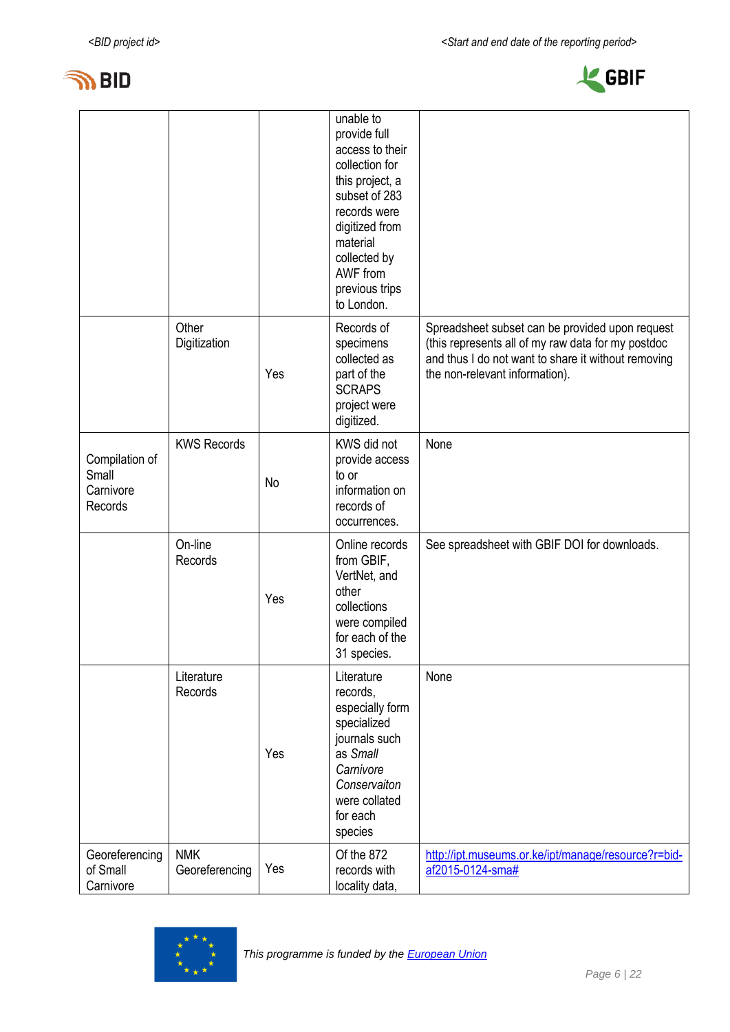



|                                                 |                              |     | unable to<br>provide full<br>access to their<br>collection for<br>this project, a<br>subset of 283<br>records were<br>digitized from<br>material<br>collected by<br>AWF from<br>previous trips<br>to London. |                                                                                                                                                                                                |
|-------------------------------------------------|------------------------------|-----|--------------------------------------------------------------------------------------------------------------------------------------------------------------------------------------------------------------|------------------------------------------------------------------------------------------------------------------------------------------------------------------------------------------------|
|                                                 | Other<br>Digitization        | Yes | Records of<br>specimens<br>collected as<br>part of the<br><b>SCRAPS</b><br>project were<br>digitized.                                                                                                        | Spreadsheet subset can be provided upon request<br>(this represents all of my raw data for my postdoc<br>and thus I do not want to share it without removing<br>the non-relevant information). |
| Compilation of<br>Small<br>Carnivore<br>Records | <b>KWS Records</b>           | No  | KWS did not<br>provide access<br>to or<br>information on<br>records of<br>occurrences.                                                                                                                       | None                                                                                                                                                                                           |
|                                                 | On-line<br>Records           | Yes | Online records<br>from GBIF,<br>VertNet, and<br>other<br>collections<br>were compiled<br>for each of the<br>31 species.                                                                                      | See spreadsheet with GBIF DOI for downloads.                                                                                                                                                   |
|                                                 | Literature<br>Records        | Yes | Literature<br>records,<br>especially form<br>specialized<br>journals such<br>as Small<br>Carnivore<br>Conservaiton<br>were collated<br>for each<br>species                                                   | None                                                                                                                                                                                           |
| Georeferencing<br>of Small<br>Carnivore         | <b>NMK</b><br>Georeferencing | Yes | Of the 872<br>records with<br>locality data,                                                                                                                                                                 | http://ipt.museums.or.ke/ipt/manage/resource?r=bid-<br>af2015-0124-sma#                                                                                                                        |

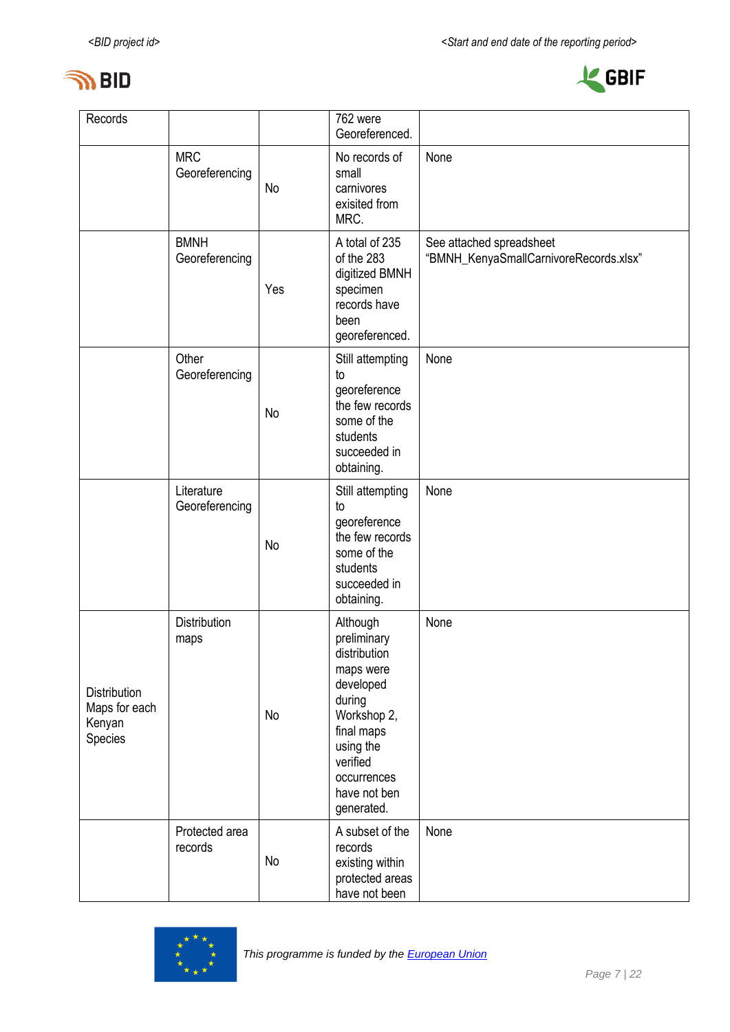



| Records                                            | 762 were                          |     | Georeferenced.                                                                                                                                                                 |                                                                    |
|----------------------------------------------------|-----------------------------------|-----|--------------------------------------------------------------------------------------------------------------------------------------------------------------------------------|--------------------------------------------------------------------|
|                                                    | <b>MRC</b><br>Georeferencing      | No  | No records of<br>small<br>carnivores<br>exisited from<br>MRC.                                                                                                                  | None                                                               |
|                                                    | <b>BMNH</b><br>Georeferencing     | Yes | A total of 235<br>of the 283<br>digitized BMNH<br>specimen<br>records have<br>been<br>georeferenced.                                                                           | See attached spreadsheet<br>"BMNH_KenyaSmallCarnivoreRecords.xlsx" |
|                                                    | Other<br>Georeferencing           | No  | Still attempting<br>to<br>georeference<br>the few records<br>some of the<br>students<br>succeeded in<br>obtaining.                                                             | None                                                               |
|                                                    | Literature<br>Georeferencing      | No  | Still attempting<br>to<br>georeference<br>the few records<br>some of the<br>students<br>succeeded in<br>obtaining.                                                             | None                                                               |
| Distribution<br>Maps for each<br>Kenyan<br>Species | <b>Distribution</b><br>maps<br>No |     | Although<br>preliminary<br>distribution<br>maps were<br>developed<br>during<br>Workshop 2,<br>final maps<br>using the<br>verified<br>occurrences<br>have not ben<br>generated. | None                                                               |
|                                                    | Protected area<br>records         | No  | A subset of the<br>records<br>existing within<br>protected areas<br>have not been                                                                                              | None                                                               |

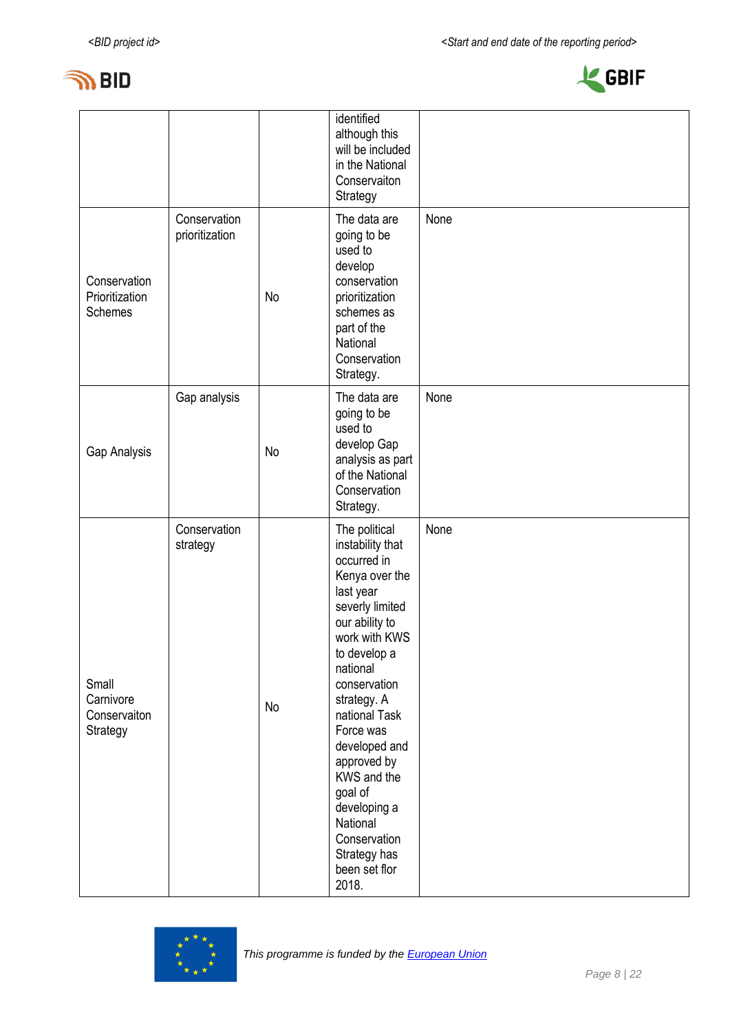



|                                                |                                |    | identified<br>although this<br>will be included<br>in the National<br>Conservaiton<br>Strategy                                                                                                                                                                                                                                                                                 |      |
|------------------------------------------------|--------------------------------|----|--------------------------------------------------------------------------------------------------------------------------------------------------------------------------------------------------------------------------------------------------------------------------------------------------------------------------------------------------------------------------------|------|
| Conservation<br>Prioritization<br>Schemes      | Conservation<br>prioritization | No | The data are<br>going to be<br>used to<br>develop<br>conservation<br>prioritization<br>schemes as<br>part of the<br>National<br>Conservation<br>Strategy.                                                                                                                                                                                                                      | None |
| Gap Analysis                                   | Gap analysis                   | No | The data are<br>going to be<br>used to<br>develop Gap<br>analysis as part<br>of the National<br>Conservation<br>Strategy.                                                                                                                                                                                                                                                      | None |
| Small<br>Carnivore<br>Conservaiton<br>Strategy | Conservation<br>strategy       | No | The political<br>instability that<br>occurred in<br>Kenya over the<br>last year<br>severly limited<br>our ability to<br>work with KWS<br>to develop a<br>national<br>conservation<br>strategy. A<br>national Task<br>Force was<br>developed and<br>approved by<br>KWS and the<br>goal of<br>developing a<br>National<br>Conservation<br>Strategy has<br>been set flor<br>2018. | None |

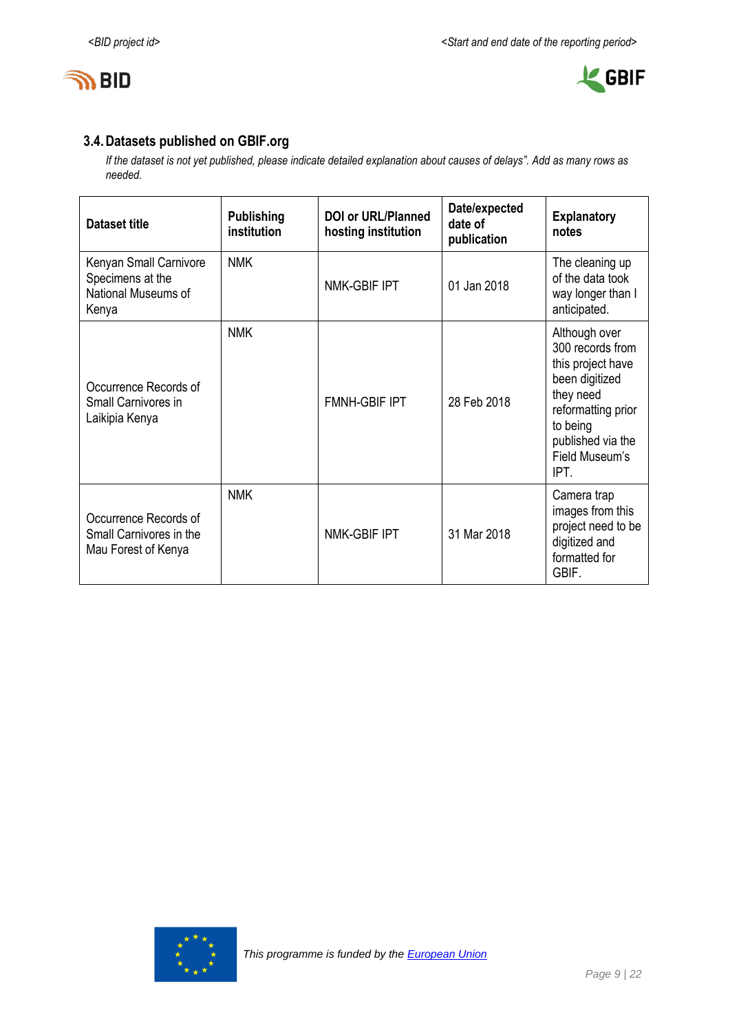



### **3.4.Datasets published on GBIF.org**

*If the dataset is not yet published, please indicate detailed explanation about causes of delays". Add as many rows as needed.*

| <b>Dataset title</b>                                                       | <b>Publishing</b><br>institution | <b>DOI or URL/Planned</b><br>hosting institution | Date/expected<br>date of<br>publication | <b>Explanatory</b><br>notes                                                                                                                                            |
|----------------------------------------------------------------------------|----------------------------------|--------------------------------------------------|-----------------------------------------|------------------------------------------------------------------------------------------------------------------------------------------------------------------------|
| Kenyan Small Carnivore<br>Specimens at the<br>National Museums of<br>Kenya | <b>NMK</b>                       | NMK-GBIF IPT                                     | 01 Jan 2018                             | The cleaning up<br>of the data took<br>way longer than I<br>anticipated.                                                                                               |
| Occurrence Records of<br>Small Carnivores in<br>Laikipia Kenya             | <b>NMK</b>                       | <b>FMNH-GBIF IPT</b>                             | 28 Feb 2018                             | Although over<br>300 records from<br>this project have<br>been digitized<br>they need<br>reformatting prior<br>to being<br>published via the<br>Field Museum's<br>IPT. |
| Occurrence Records of<br>Small Carnivores in the<br>Mau Forest of Kenya    | <b>NMK</b>                       | NMK-GBIF IPT                                     | 31 Mar 2018                             | Camera trap<br>images from this<br>project need to be<br>digitized and<br>formatted for<br>GBIF.                                                                       |

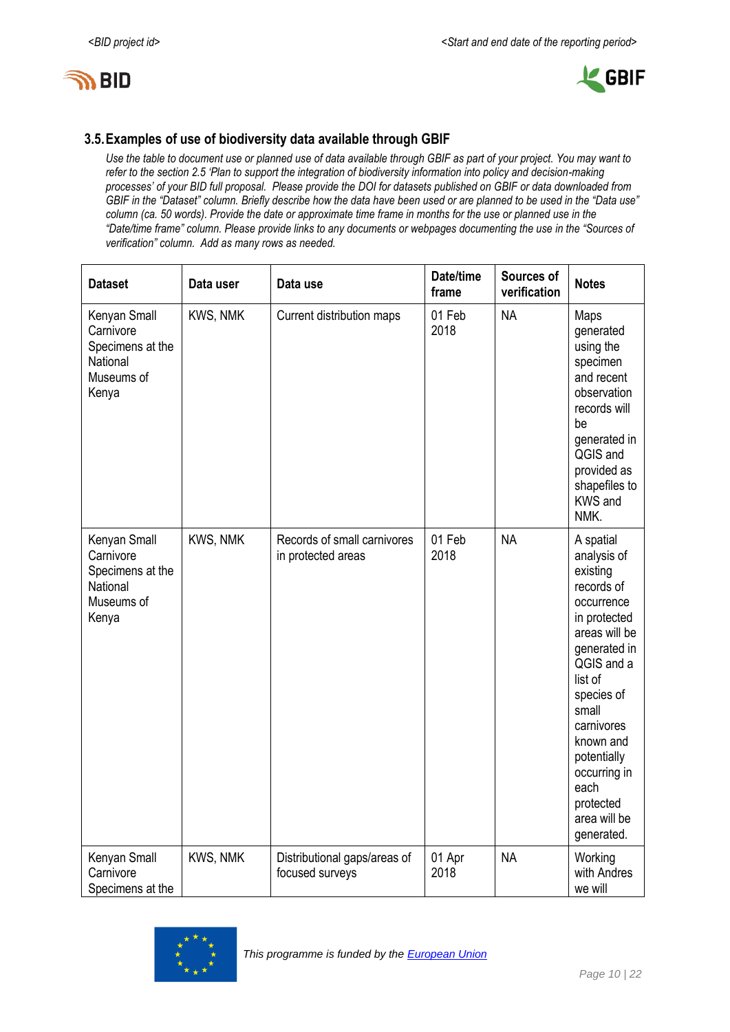



### **3.5.Examples of use of biodiversity data available through GBIF**

*Use the table to document use or planned use of data available through GBIF as part of your project. You may want to refer to the section 2.5 'Plan to support the integration of biodiversity information into policy and decision-making processes' of your BID full proposal. Please provide the DOI for datasets published on GBIF or data downloaded from GBIF in the "Dataset" column. Briefly describe how the data have been used or are planned to be used in the "Data use" column (ca. 50 words). Provide the date or approximate time frame in months for the use or planned use in the "Date/time frame" column. Please provide links to any documents or webpages documenting the use in the "Sources of verification" column. Add as many rows as needed.*

| <b>Dataset</b>                                                                   | Data user | Data use                                          | Date/time<br>frame | Sources of<br>verification | <b>Notes</b>                                                                                                                                                                                                                                                                   |
|----------------------------------------------------------------------------------|-----------|---------------------------------------------------|--------------------|----------------------------|--------------------------------------------------------------------------------------------------------------------------------------------------------------------------------------------------------------------------------------------------------------------------------|
| Kenyan Small<br>Carnivore<br>Specimens at the<br>National<br>Museums of<br>Kenya | KWS, NMK  | Current distribution maps                         | 01 Feb<br>2018     | <b>NA</b>                  | Maps<br>generated<br>using the<br>specimen<br>and recent<br>observation<br>records will<br>be<br>generated in<br>QGIS and<br>provided as<br>shapefiles to<br><b>KWS and</b><br>NMK.                                                                                            |
| Kenyan Small<br>Carnivore<br>Specimens at the<br>National<br>Museums of<br>Kenya | KWS, NMK  | Records of small carnivores<br>in protected areas | 01 Feb<br>2018     | <b>NA</b>                  | A spatial<br>analysis of<br>existing<br>records of<br>occurrence<br>in protected<br>areas will be<br>generated in<br>QGIS and a<br>list of<br>species of<br>small<br>carnivores<br>known and<br>potentially<br>occurring in<br>each<br>protected<br>area will be<br>generated. |
| Kenyan Small<br>Carnivore<br>Specimens at the                                    | KWS, NMK  | Distributional gaps/areas of<br>focused surveys   | 01 Apr<br>2018     | <b>NA</b>                  | Working<br>with Andres<br>we will                                                                                                                                                                                                                                              |

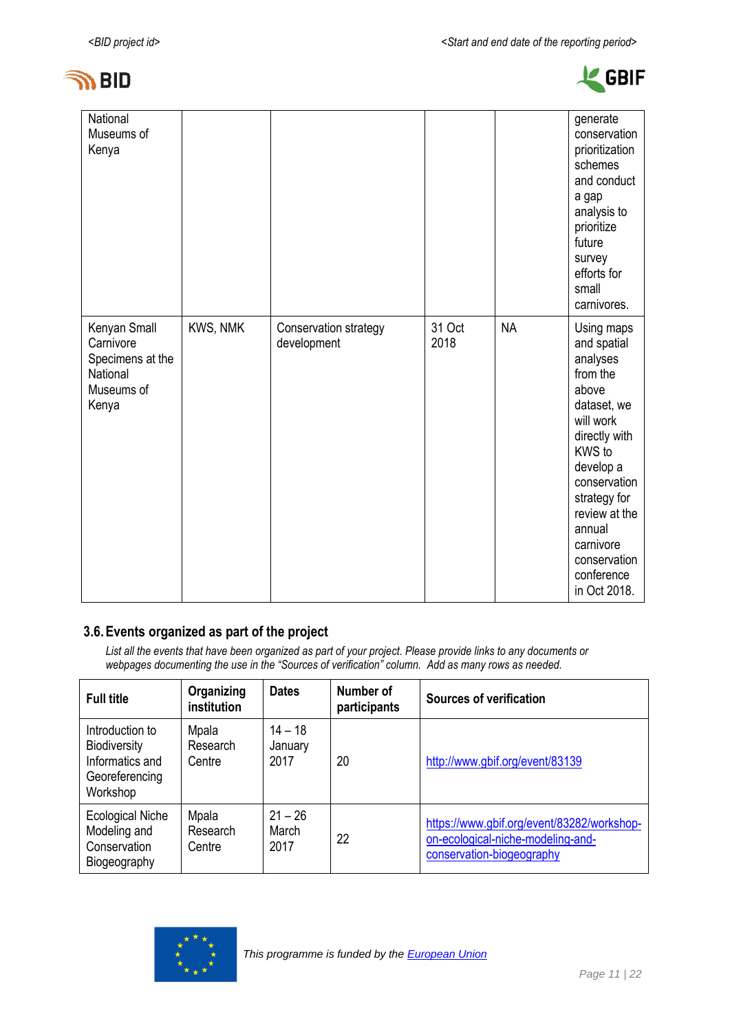



| National<br>Museums of<br>Kenya                                                  |          |                                      |                |           | generate<br>conservation<br>prioritization<br>schemes<br>and conduct<br>a gap<br>analysis to<br>prioritize<br>future<br>survey<br>efforts for<br>small<br>carnivores.                                                                                |
|----------------------------------------------------------------------------------|----------|--------------------------------------|----------------|-----------|------------------------------------------------------------------------------------------------------------------------------------------------------------------------------------------------------------------------------------------------------|
| Kenyan Small<br>Carnivore<br>Specimens at the<br>National<br>Museums of<br>Kenya | KWS, NMK | Conservation strategy<br>development | 31 Oct<br>2018 | <b>NA</b> | Using maps<br>and spatial<br>analyses<br>from the<br>above<br>dataset, we<br>will work<br>directly with<br>KWS to<br>develop a<br>conservation<br>strategy for<br>review at the<br>annual<br>carnivore<br>conservation<br>conference<br>in Oct 2018. |

### **3.6.Events organized as part of the project**

*List all the events that have been organized as part of your project. Please provide links to any documents or webpages documenting the use in the "Sources of verification" column. Add as many rows as needed.*

| <b>Full title</b>                                                                       | Organizing<br>institution   | <b>Dates</b>                 | Number of<br>participants | <b>Sources of verification</b>                                                                               |  |  |  |  |  |  |
|-----------------------------------------------------------------------------------------|-----------------------------|------------------------------|---------------------------|--------------------------------------------------------------------------------------------------------------|--|--|--|--|--|--|
| Introduction to<br><b>Biodiversity</b><br>Informatics and<br>Georeferencing<br>Workshop | Mpala<br>Research<br>Centre | $14 - 18$<br>January<br>2017 | 20                        | http://www.gbif.org/event/83139                                                                              |  |  |  |  |  |  |
| <b>Ecological Niche</b><br>Modeling and<br>Conservation<br>Biogeography                 | Mpala<br>Research<br>Centre | $21 - 26$<br>March<br>2017   | 22                        | https://www.gbif.org/event/83282/workshop-<br>on-ecological-niche-modeling-and-<br>conservation-biogeography |  |  |  |  |  |  |

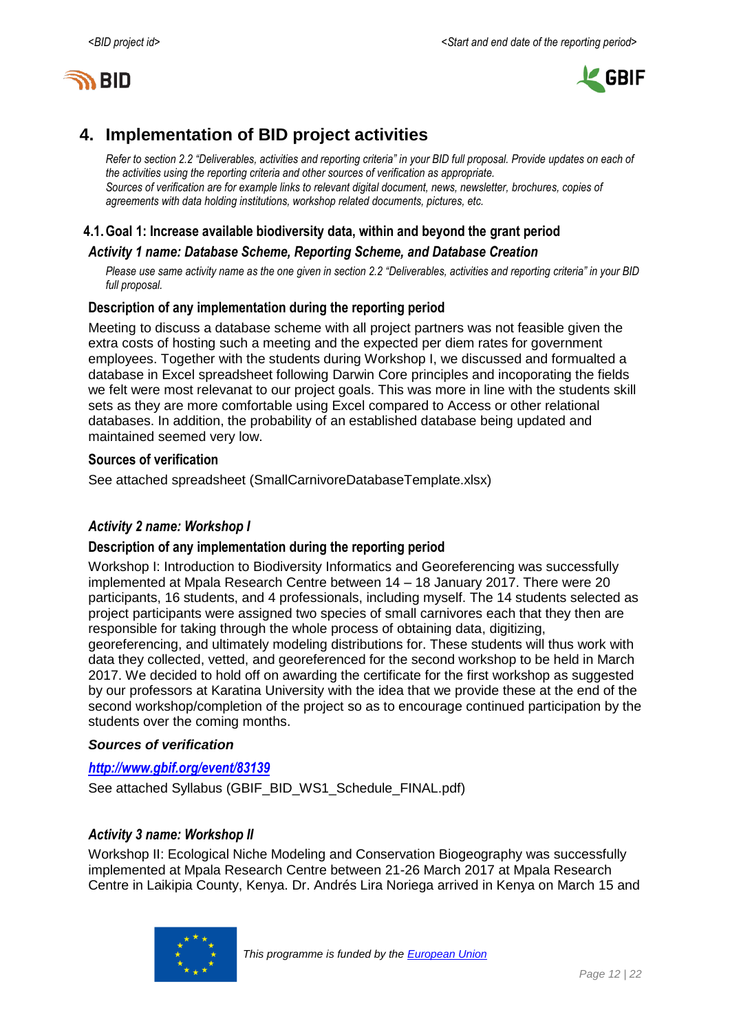



# <span id="page-11-0"></span>**4. Implementation of BID project activities**

*Refer to section 2.2 "Deliverables, activities and reporting criteria" in your BID full proposal. Provide updates on each of the activities using the reporting criteria and other sources of verification as appropriate. Sources of verification are for example links to relevant digital document, news, newsletter, brochures, copies of agreements with data holding institutions, workshop related documents, pictures, etc.*

#### **4.1.Goal 1: Increase available biodiversity data, within and beyond the grant period**

#### *Activity 1 name: Database Scheme, Reporting Scheme, and Database Creation*

*Please use same activity name as the one given in section 2.2 "Deliverables, activities and reporting criteria" in your BID full proposal.*

#### **Description of any implementation during the reporting period**

Meeting to discuss a database scheme with all project partners was not feasible given the extra costs of hosting such a meeting and the expected per diem rates for government employees. Together with the students during Workshop I, we discussed and formualted a database in Excel spreadsheet following Darwin Core principles and incoporating the fields we felt were most relevanat to our project goals. This was more in line with the students skill sets as they are more comfortable using Excel compared to Access or other relational databases. In addition, the probability of an established database being updated and maintained seemed very low.

#### **Sources of verification**

See attached spreadsheet (SmallCarnivoreDatabaseTemplate.xlsx)

#### *Activity 2 name: Workshop I*

#### **Description of any implementation during the reporting period**

Workshop I: Introduction to Biodiversity Informatics and Georeferencing was successfully implemented at Mpala Research Centre between 14 – 18 January 2017. There were 20 participants, 16 students, and 4 professionals, including myself. The 14 students selected as project participants were assigned two species of small carnivores each that they then are responsible for taking through the whole process of obtaining data, digitizing, georeferencing, and ultimately modeling distributions for. These students will thus work with data they collected, vetted, and georeferenced for the second workshop to be held in March 2017. We decided to hold off on awarding the certificate for the first workshop as suggested by our professors at Karatina University with the idea that we provide these at the end of the second workshop/completion of the project so as to encourage continued participation by the students over the coming months.

#### *Sources of verification*

#### *<http://www.gbif.org/event/83139>*

See attached Syllabus (GBIF\_BID\_WS1\_Schedule\_FINAL.pdf)

#### *Activity 3 name: Workshop II*

Workshop II: Ecological Niche Modeling and Conservation Biogeography was successfully implemented at Mpala Research Centre between 21-26 March 2017 at Mpala Research Centre in Laikipia County, Kenya. Dr. Andrés Lira Noriega arrived in Kenya on March 15 and

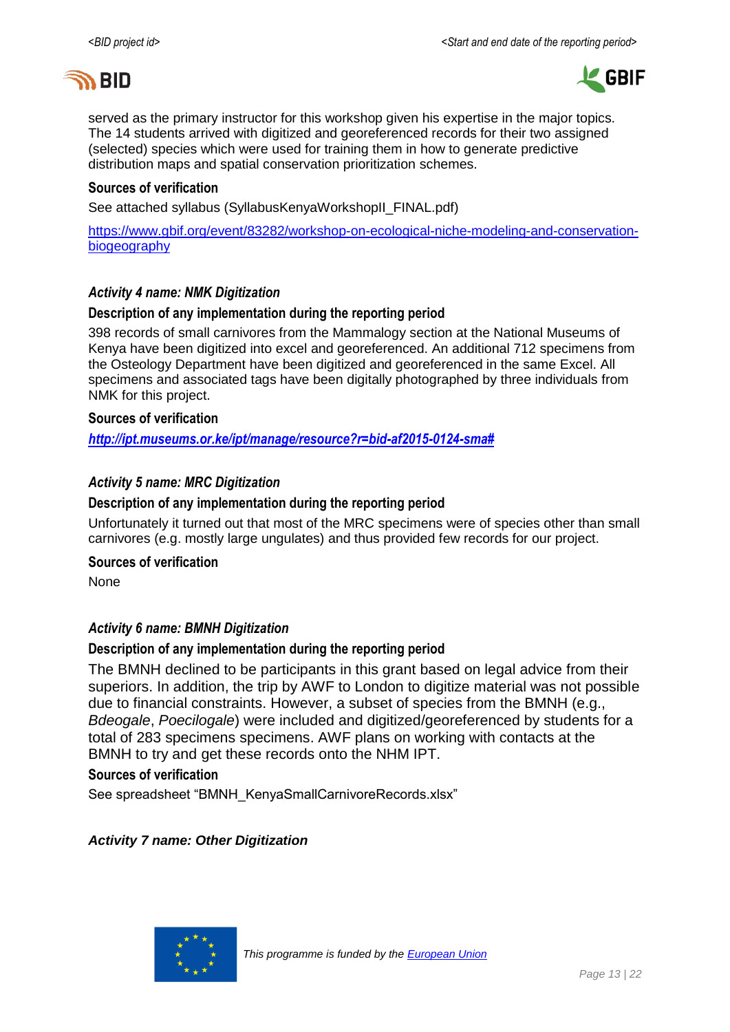



served as the primary instructor for this workshop given his expertise in the major topics. The 14 students arrived with digitized and georeferenced records for their two assigned (selected) species which were used for training them in how to generate predictive distribution maps and spatial conservation prioritization schemes.

#### **Sources of verification**

See attached syllabus (SyllabusKenyaWorkshopII\_FINAL.pdf)

[https://www.gbif.org/event/83282/workshop-on-ecological-niche-modeling-and-conservation](https://www.gbif.org/event/83282/workshop-on-ecological-niche-modeling-and-conservation-biogeography)[biogeography](https://www.gbif.org/event/83282/workshop-on-ecological-niche-modeling-and-conservation-biogeography)

#### *Activity 4 name: NMK Digitization*

#### **Description of any implementation during the reporting period**

398 records of small carnivores from the Mammalogy section at the National Museums of Kenya have been digitized into excel and georeferenced. An additional 712 specimens from the Osteology Department have been digitized and georeferenced in the same Excel. All specimens and associated tags have been digitally photographed by three individuals from NMK for this project.

#### **Sources of verification**

*[http://ipt.museums.or.ke/ipt/manage/resource?r=bid-af2015-0124-sma#](http://ipt.museums.or.ke/ipt/manage/resource?r=bid-af2015-0124-sma)*

#### *Activity 5 name: MRC Digitization*

#### **Description of any implementation during the reporting period**

Unfortunately it turned out that most of the MRC specimens were of species other than small carnivores (e.g. mostly large ungulates) and thus provided few records for our project.

#### **Sources of verification**

None

#### *Activity 6 name: BMNH Digitization*

#### **Description of any implementation during the reporting period**

The BMNH declined to be participants in this grant based on legal advice from their superiors. In addition, the trip by AWF to London to digitize material was not possible due to financial constraints. However, a subset of species from the BMNH (e.g., *Bdeogale*, *Poecilogale*) were included and digitized/georeferenced by students for a total of 283 specimens specimens. AWF plans on working with contacts at the BMNH to try and get these records onto the NHM IPT.

#### **Sources of verification**

See spreadsheet "BMNH\_KenyaSmallCarnivoreRecords.xlsx"

#### *Activity 7 name: Other Digitization*

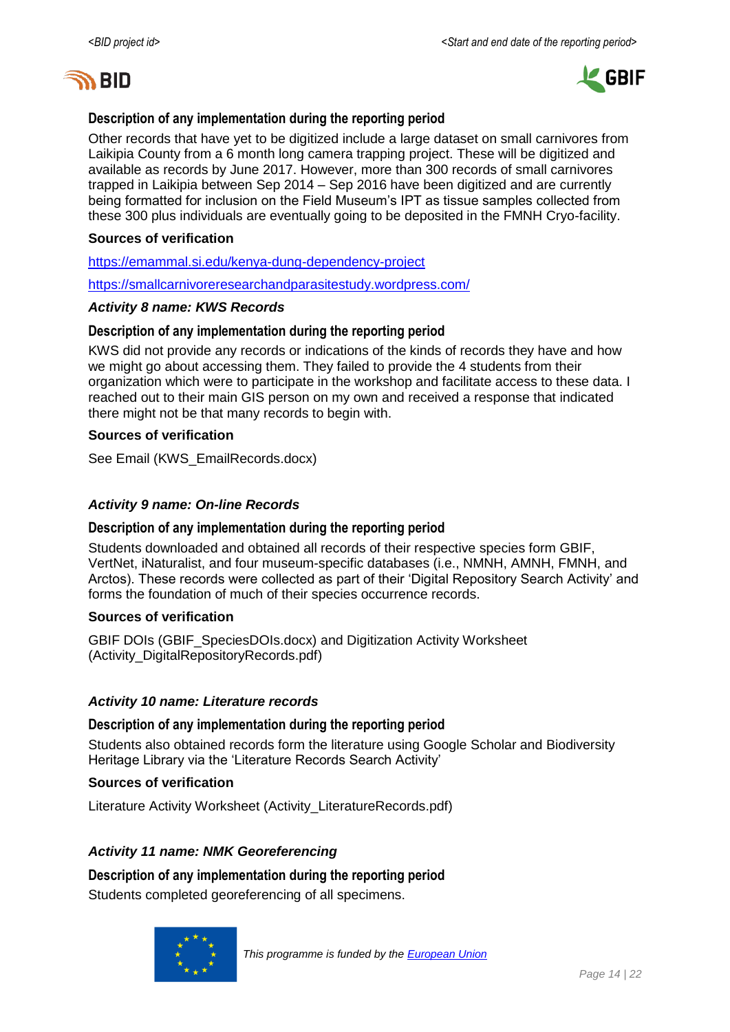



#### **Description of any implementation during the reporting period**

Other records that have yet to be digitized include a large dataset on small carnivores from Laikipia County from a 6 month long camera trapping project. These will be digitized and available as records by June 2017. However, more than 300 records of small carnivores trapped in Laikipia between Sep 2014 – Sep 2016 have been digitized and are currently being formatted for inclusion on the Field Museum's IPT as tissue samples collected from these 300 plus individuals are eventually going to be deposited in the FMNH Cryo-facility.

#### **Sources of verification**

<https://emammal.si.edu/kenya-dung-dependency-project>

<https://smallcarnivoreresearchandparasitestudy.wordpress.com/>

#### *Activity 8 name: KWS Records*

#### **Description of any implementation during the reporting period**

KWS did not provide any records or indications of the kinds of records they have and how we might go about accessing them. They failed to provide the 4 students from their organization which were to participate in the workshop and facilitate access to these data. I reached out to their main GIS person on my own and received a response that indicated there might not be that many records to begin with.

#### **Sources of verification**

See Email (KWS\_EmailRecords.docx)

#### *Activity 9 name: On-line Records*

#### **Description of any implementation during the reporting period**

Students downloaded and obtained all records of their respective species form GBIF, VertNet, iNaturalist, and four museum-specific databases (i.e., NMNH, AMNH, FMNH, and Arctos). These records were collected as part of their 'Digital Repository Search Activity' and forms the foundation of much of their species occurrence records.

#### **Sources of verification**

GBIF DOIs (GBIF\_SpeciesDOIs.docx) and Digitization Activity Worksheet (Activity\_DigitalRepositoryRecords.pdf)

#### *Activity 10 name: Literature records*

#### **Description of any implementation during the reporting period**

Students also obtained records form the literature using Google Scholar and Biodiversity Heritage Library via the 'Literature Records Search Activity'

#### **Sources of verification**

Literature Activity Worksheet (Activity\_LiteratureRecords.pdf)

#### *Activity 11 name: NMK Georeferencing*

**Description of any implementation during the reporting period** Students completed georeferencing of all specimens.

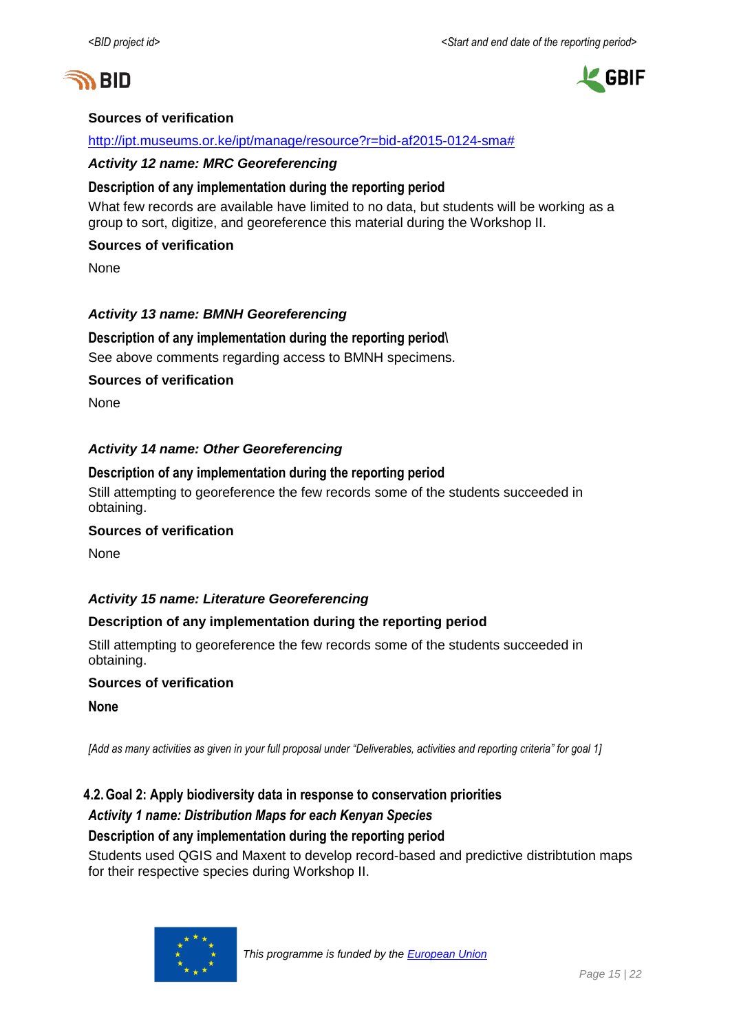



#### **Sources of verification**

#### [http://ipt.museums.or.ke/ipt/manage/resource?r=bid-af2015-0124-sma#](http://ipt.museums.or.ke/ipt/manage/resource?r=bid-af2015-0124-sma)

#### *Activity 12 name: MRC Georeferencing*

#### **Description of any implementation during the reporting period**

What few records are available have limited to no data, but students will be working as a group to sort, digitize, and georeference this material during the Workshop II.

#### **Sources of verification**

None

#### *Activity 13 name: BMNH Georeferencing*

#### **Description of any implementation during the reporting period\**

See above comments regarding access to BMNH specimens.

#### **Sources of verification**

None

#### *Activity 14 name: Other Georeferencing*

#### **Description of any implementation during the reporting period**

Still attempting to georeference the few records some of the students succeeded in obtaining.

#### **Sources of verification**

None

#### *Activity 15 name: Literature Georeferencing*

#### **Description of any implementation during the reporting period**

Still attempting to georeference the few records some of the students succeeded in obtaining.

#### **Sources of verification**

**None**

*[Add as many activities as given in your full proposal under "Deliverables, activities and reporting criteria" for goal 1]*

#### **4.2.Goal 2: Apply biodiversity data in response to conservation priorities**

#### *Activity 1 name: Distribution Maps for each Kenyan Species*

#### **Description of any implementation during the reporting period**

Students used QGIS and Maxent to develop record-based and predictive distribtution maps for their respective species during Workshop II.

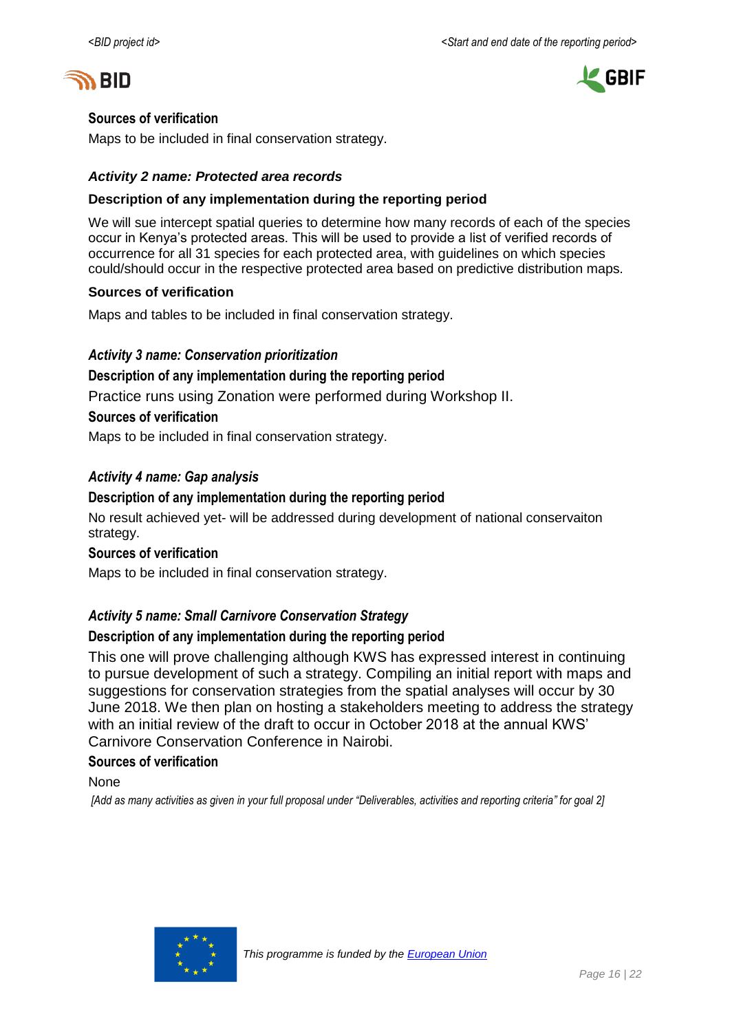



#### **Sources of verification**

Maps to be included in final conservation strategy.

#### *Activity 2 name: Protected area records*

#### **Description of any implementation during the reporting period**

We will sue intercept spatial queries to determine how many records of each of the species occur in Kenya's protected areas. This will be used to provide a list of verified records of occurrence for all 31 species for each protected area, with guidelines on which species could/should occur in the respective protected area based on predictive distribution maps.

#### **Sources of verification**

Maps and tables to be included in final conservation strategy.

#### *Activity 3 name: Conservation prioritization*

#### **Description of any implementation during the reporting period**

Practice runs using Zonation were performed during Workshop II.

#### **Sources of verification**

Maps to be included in final conservation strategy.

#### *Activity 4 name: Gap analysis*

#### **Description of any implementation during the reporting period**

No result achieved yet- will be addressed during development of national conservaiton strategy.

#### **Sources of verification**

Maps to be included in final conservation strategy.

#### *Activity 5 name: Small Carnivore Conservation Strategy*

#### **Description of any implementation during the reporting period**

This one will prove challenging although KWS has expressed interest in continuing to pursue development of such a strategy. Compiling an initial report with maps and suggestions for conservation strategies from the spatial analyses will occur by 30 June 2018. We then plan on hosting a stakeholders meeting to address the strategy with an initial review of the draft to occur in October 2018 at the annual KWS' Carnivore Conservation Conference in Nairobi.

#### **Sources of verification**

None

*[Add as many activities as given in your full proposal under "Deliverables, activities and reporting criteria" for goal 2]*

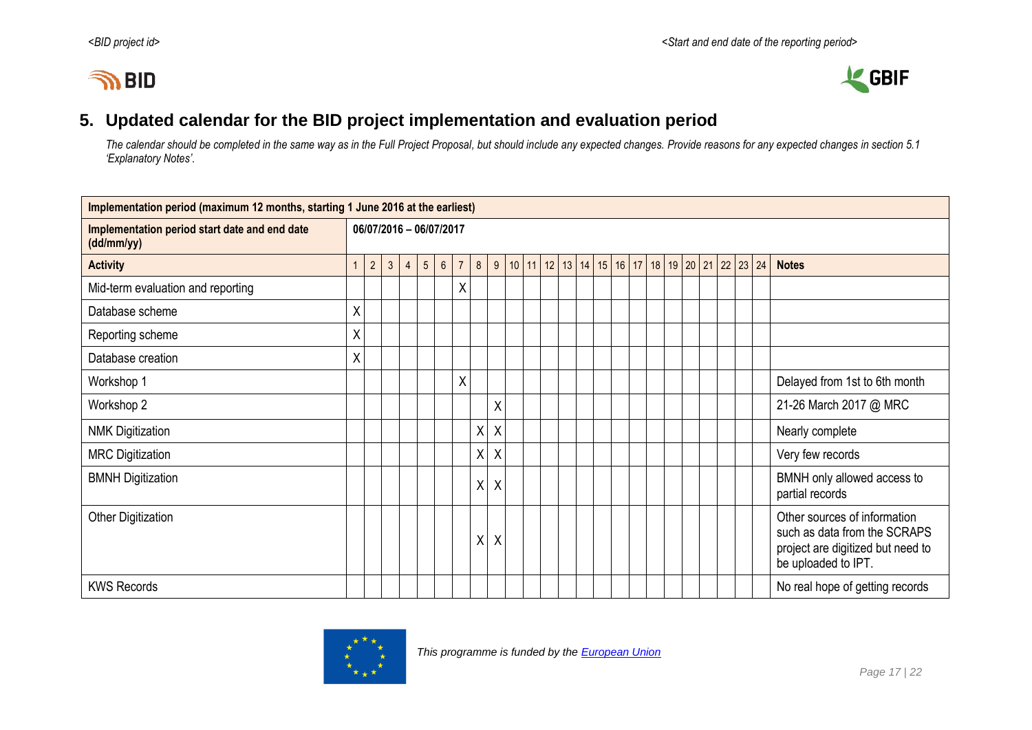# **IN BID**



# **5. Updated calendar for the BID project implementation and evaluation period**

*The calendar should be completed in the same way as in the Full Project Proposal, but should include any expected changes. Provide reasons for any expected changes in section 5.1 'Explanatory Notes'.*

<span id="page-16-0"></span>

| Implementation period (maximum 12 months, starting 1 June 2016 at the earliest) |                |                         |              |                |                 |                |                |   |                  |  |                  |  |  |  |                                                           |  |  |  |                                                                                                                          |
|---------------------------------------------------------------------------------|----------------|-------------------------|--------------|----------------|-----------------|----------------|----------------|---|------------------|--|------------------|--|--|--|-----------------------------------------------------------|--|--|--|--------------------------------------------------------------------------------------------------------------------------|
| Implementation period start date and end date<br>(dd/mm/yy)                     |                | 06/07/2016 - 06/07/2017 |              |                |                 |                |                |   |                  |  |                  |  |  |  |                                                           |  |  |  |                                                                                                                          |
| <b>Activity</b>                                                                 | $\overline{1}$ | $2^{\circ}$             | $\mathbf{3}$ | $\overline{4}$ | $5\overline{)}$ | $6\phantom{a}$ | $\overline{7}$ | 8 |                  |  | 9   10   11   12 |  |  |  | 13   14   15   16   17   18   19   20   21   22   23   24 |  |  |  | <b>Notes</b>                                                                                                             |
| Mid-term evaluation and reporting                                               |                |                         |              |                |                 |                | Χ              |   |                  |  |                  |  |  |  |                                                           |  |  |  |                                                                                                                          |
| Database scheme                                                                 | χ              |                         |              |                |                 |                |                |   |                  |  |                  |  |  |  |                                                           |  |  |  |                                                                                                                          |
| Reporting scheme                                                                | χ              |                         |              |                |                 |                |                |   |                  |  |                  |  |  |  |                                                           |  |  |  |                                                                                                                          |
| Database creation                                                               | X              |                         |              |                |                 |                |                |   |                  |  |                  |  |  |  |                                                           |  |  |  |                                                                                                                          |
| Workshop 1                                                                      |                |                         |              |                |                 |                | Χ              |   |                  |  |                  |  |  |  |                                                           |  |  |  | Delayed from 1st to 6th month                                                                                            |
| Workshop 2                                                                      |                |                         |              |                |                 |                |                |   | Χ                |  |                  |  |  |  |                                                           |  |  |  | 21-26 March 2017 @ MRC                                                                                                   |
| <b>NMK Digitization</b>                                                         |                |                         |              |                |                 |                |                | χ | $\boldsymbol{X}$ |  |                  |  |  |  |                                                           |  |  |  | Nearly complete                                                                                                          |
| <b>MRC Digitization</b>                                                         |                |                         |              |                |                 |                |                | χ | $\sf X$          |  |                  |  |  |  |                                                           |  |  |  | Very few records                                                                                                         |
| <b>BMNH Digitization</b>                                                        |                |                         |              |                |                 |                |                | χ | X                |  |                  |  |  |  |                                                           |  |  |  | BMNH only allowed access to<br>partial records                                                                           |
| <b>Other Digitization</b>                                                       |                |                         |              |                |                 |                |                | Χ | Χ                |  |                  |  |  |  |                                                           |  |  |  | Other sources of information<br>such as data from the SCRAPS<br>project are digitized but need to<br>be uploaded to IPT. |
| <b>KWS Records</b>                                                              |                |                         |              |                |                 |                |                |   |                  |  |                  |  |  |  |                                                           |  |  |  | No real hope of getting records                                                                                          |

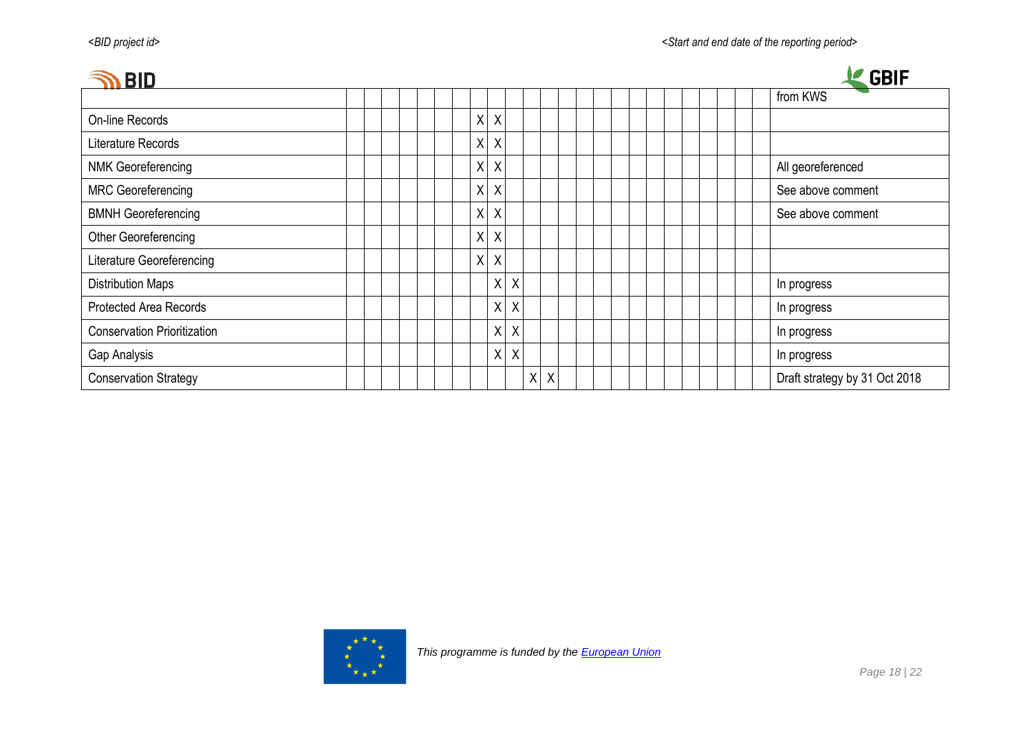| <b>BID</b>                         |                               | <b>GBIF</b>                   |
|------------------------------------|-------------------------------|-------------------------------|
|                                    |                               | from KWS                      |
| On-line Records                    | $\mathsf{X}$<br>$\mathsf{X}$  |                               |
| Literature Records                 | X<br>$\mathsf{X}$             |                               |
| <b>NMK Georeferencing</b>          | X<br>$\mathsf{X}$             | All georeferenced             |
| <b>MRC</b> Georeferencing          | X<br>$\mathsf{X}$             | See above comment             |
| <b>BMNH Georeferencing</b>         | X<br>$\mathsf{X}$             | See above comment             |
| Other Georeferencing               | Χ<br>X                        |                               |
| Literature Georeferencing          | $\mathsf{X}$<br>$\sf X$       |                               |
| <b>Distribution Maps</b>           | $X$ $X$                       | In progress                   |
| Protected Area Records             | $X$ $X$                       | In progress                   |
| <b>Conservation Prioritization</b> | $X$ $X$                       | In progress                   |
| Gap Analysis                       | $X$ $X$                       | In progress                   |
| <b>Conservation Strategy</b>       | $\sf X$<br>$\pmb{\mathsf{X}}$ | Draft strategy by 31 Oct 2018 |

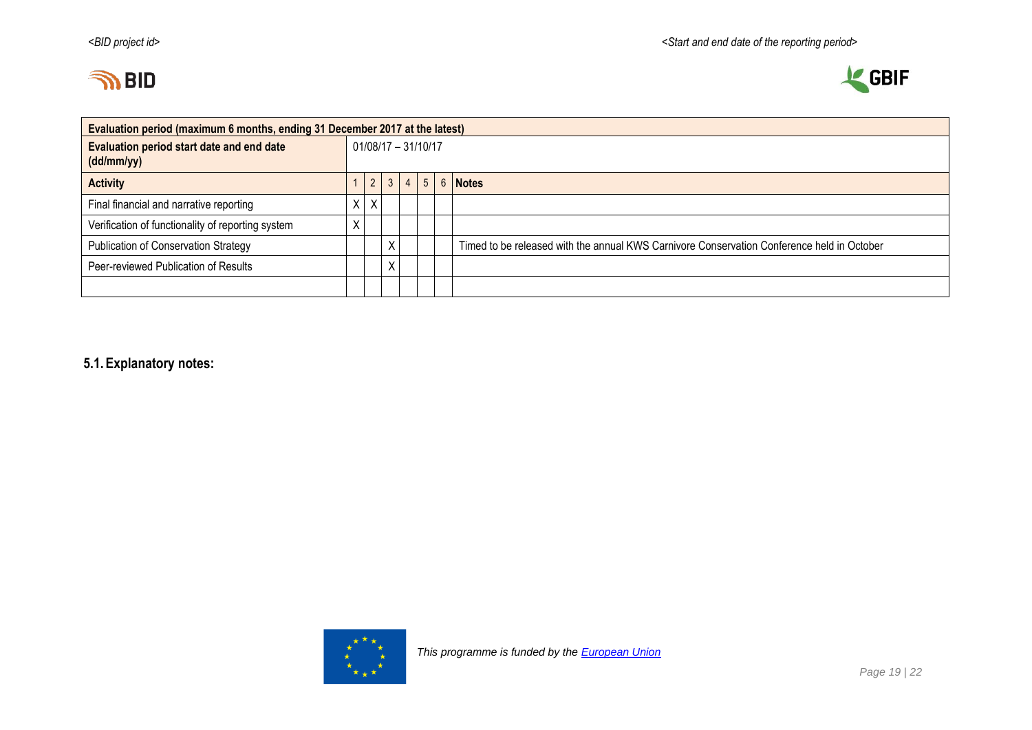



| Evaluation period (maximum 6 months, ending 31 December 2017 at the latest) |                     |            |              |                |                |  |                                                                                            |  |
|-----------------------------------------------------------------------------|---------------------|------------|--------------|----------------|----------------|--|--------------------------------------------------------------------------------------------|--|
| Evaluation period start date and end date<br>(dd/mm/yy)                     | 01/08/17 - 31/10/17 |            |              |                |                |  |                                                                                            |  |
| <b>Activity</b>                                                             |                     | $\sqrt{2}$ | $\mathbf{3}$ | $\overline{4}$ | 5 <sup>5</sup> |  | 6 Notes                                                                                    |  |
| Final financial and narrative reporting                                     |                     | Χ          |              |                |                |  |                                                                                            |  |
| Verification of functionality of reporting system                           |                     |            |              |                |                |  |                                                                                            |  |
| Publication of Conservation Strategy                                        |                     |            | Χ            |                |                |  | Timed to be released with the annual KWS Carnivore Conservation Conference held in October |  |
| Peer-reviewed Publication of Results                                        |                     |            | χ            |                |                |  |                                                                                            |  |
|                                                                             |                     |            |              |                |                |  |                                                                                            |  |

# **5.1.Explanatory notes:**

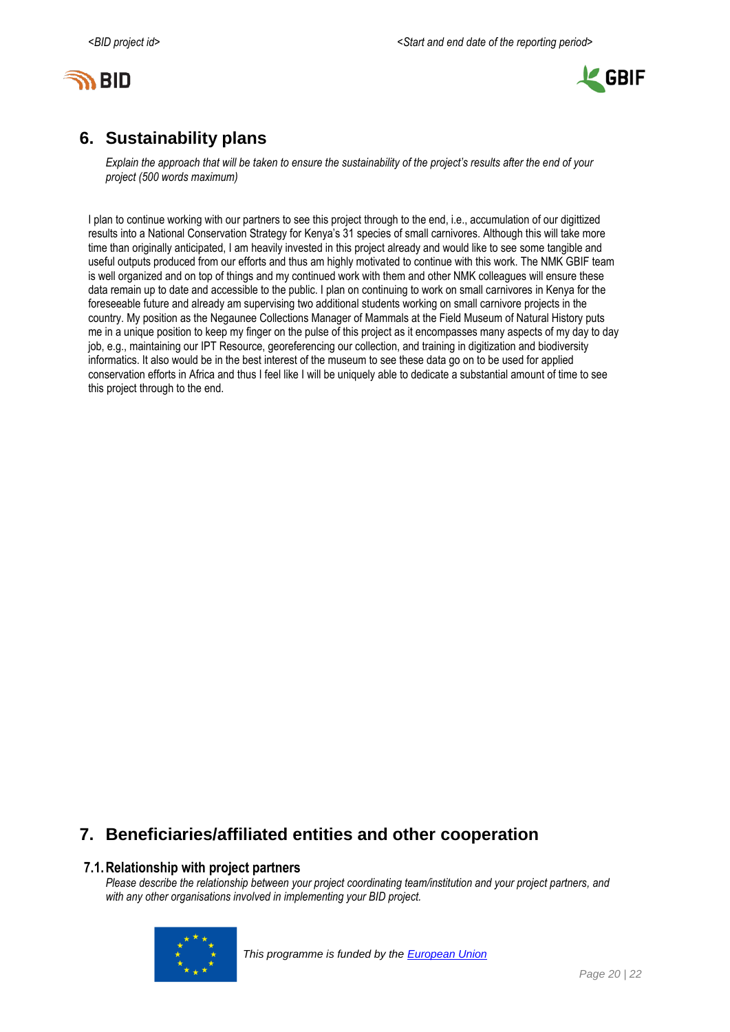



# <span id="page-19-0"></span>**6. Sustainability plans**

*Explain the approach that will be taken to ensure the sustainability of the project's results after the end of your project (500 words maximum)*

I plan to continue working with our partners to see this project through to the end, i.e., accumulation of our digittized results into a National Conservation Strategy for Kenya's 31 species of small carnivores. Although this will take more time than originally anticipated, I am heavily invested in this project already and would like to see some tangible and useful outputs produced from our efforts and thus am highly motivated to continue with this work. The NMK GBIF team is well organized and on top of things and my continued work with them and other NMK colleagues will ensure these data remain up to date and accessible to the public. I plan on continuing to work on small carnivores in Kenya for the foreseeable future and already am supervising two additional students working on small carnivore projects in the country. My position as the Negaunee Collections Manager of Mammals at the Field Museum of Natural History puts me in a unique position to keep my finger on the pulse of this project as it encompasses many aspects of my day to day job, e.g., maintaining our IPT Resource, georeferencing our collection, and training in digitization and biodiversity informatics. It also would be in the best interest of the museum to see these data go on to be used for applied conservation efforts in Africa and thus I feel like I will be uniquely able to dedicate a substantial amount of time to see this project through to the end.

# <span id="page-19-1"></span>**7. Beneficiaries/affiliated entities and other cooperation**

#### **7.1.Relationship with project partners**

*Please describe the relationship between your project coordinating team/institution and your project partners, and with any other organisations involved in implementing your BID project.*

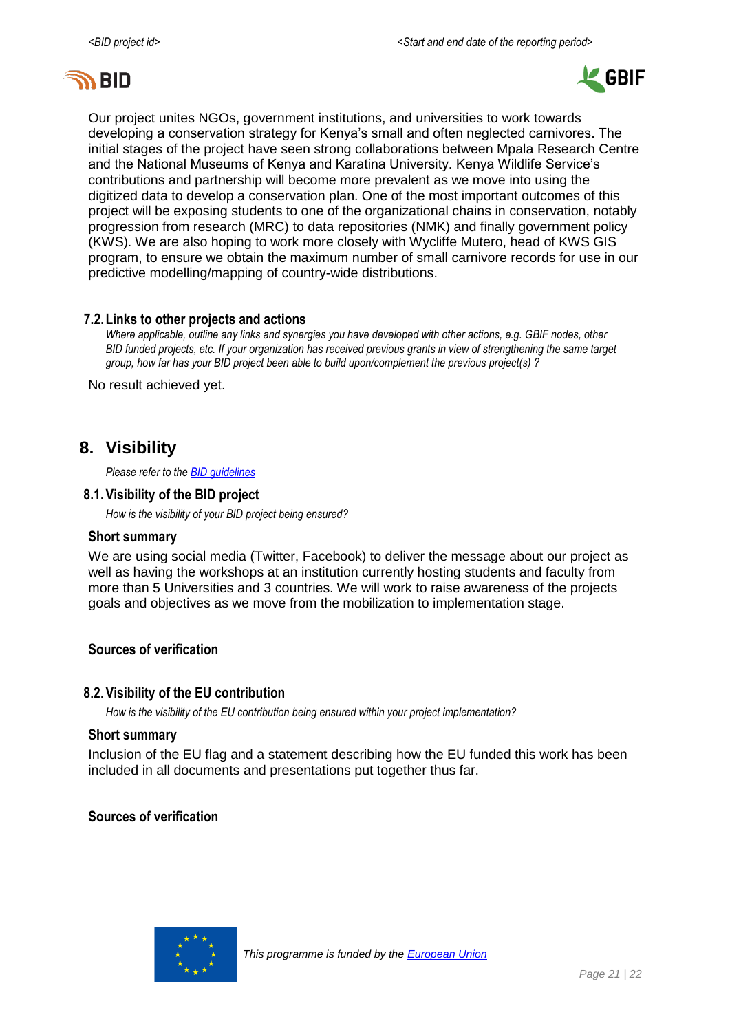



Our project unites NGOs, government institutions, and universities to work towards developing a conservation strategy for Kenya's small and often neglected carnivores. The initial stages of the project have seen strong collaborations between Mpala Research Centre and the National Museums of Kenya and Karatina University. Kenya Wildlife Service's contributions and partnership will become more prevalent as we move into using the digitized data to develop a conservation plan. One of the most important outcomes of this project will be exposing students to one of the organizational chains in conservation, notably progression from research (MRC) to data repositories (NMK) and finally government policy (KWS). We are also hoping to work more closely with Wycliffe Mutero, head of KWS GIS program, to ensure we obtain the maximum number of small carnivore records for use in our predictive modelling/mapping of country-wide distributions.

#### **7.2.Links to other projects and actions**

*Where applicable, outline any links and synergies you have developed with other actions, e.g. GBIF nodes, other BID funded projects, etc. If your organization has received previous grants in view of strengthening the same target group, how far has your BID project been able to build upon/complement the previous project(s) ?*

No result achieved yet.

### <span id="page-20-0"></span>**8. Visibility**

*Please refer to th[e BID guidelines](http://bid.gbif.org/en/community/communication-guidelines/)*

#### **8.1.Visibility of the BID project**

*How is the visibility of your BID project being ensured?*

#### **Short summary**

We are using social media (Twitter, Facebook) to deliver the message about our project as well as having the workshops at an institution currently hosting students and faculty from more than 5 Universities and 3 countries. We will work to raise awareness of the projects goals and objectives as we move from the mobilization to implementation stage.

#### **Sources of verification**

#### **8.2.Visibility of the EU contribution**

*How is the visibility of the EU contribution being ensured within your project implementation?*

#### **Short summary**

Inclusion of the EU flag and a statement describing how the EU funded this work has been included in all documents and presentations put together thus far.

#### **Sources of verification**